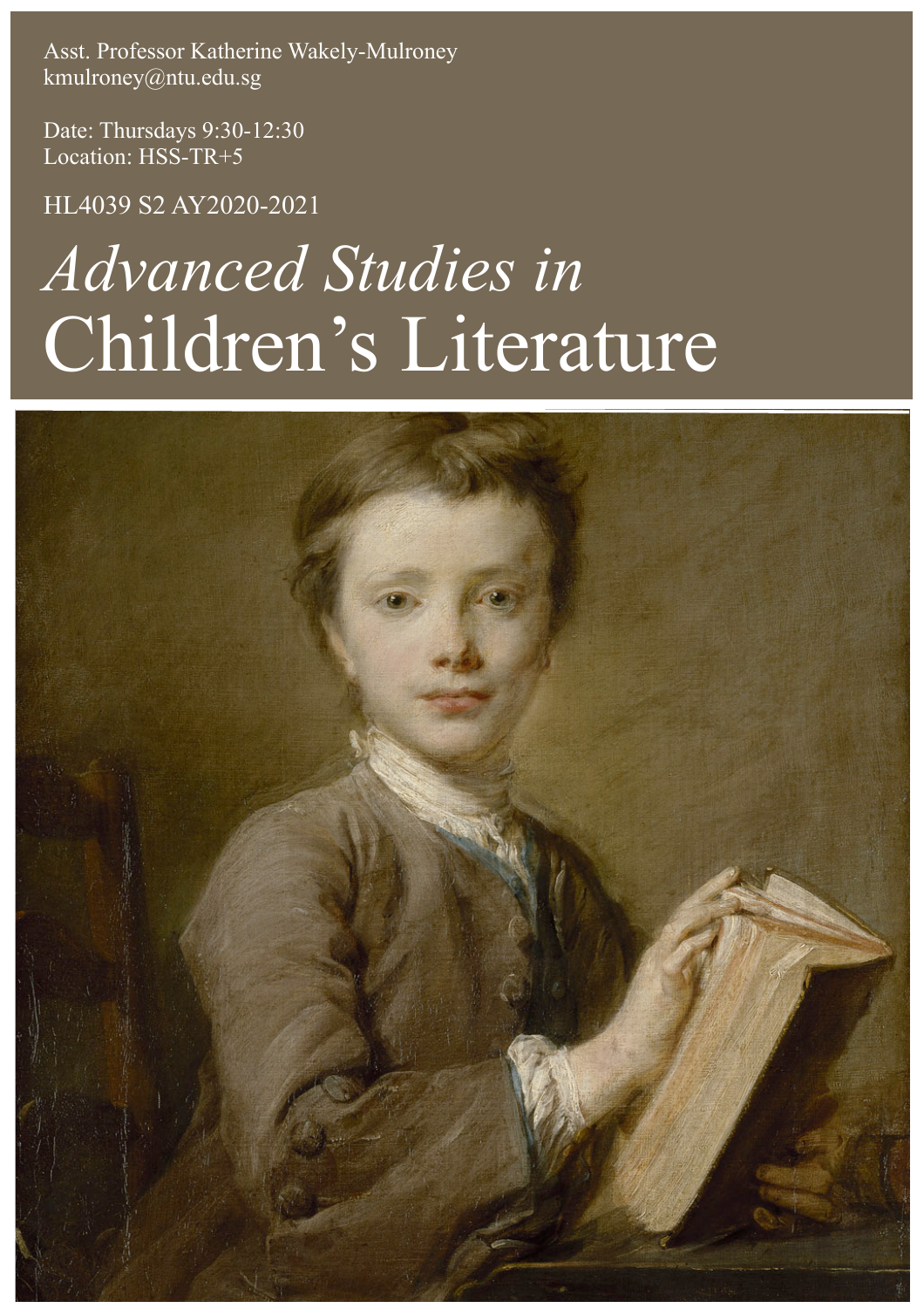Asst. Professor Katherine Wakely-Mulroney kmulroney@ntu.edu.sg

Date: Thursdays 9:30-12:30 Location: HSS-TR+5

HL4039 S2 AY2020-2021

# *Advanced Studies in*  Children's Literature

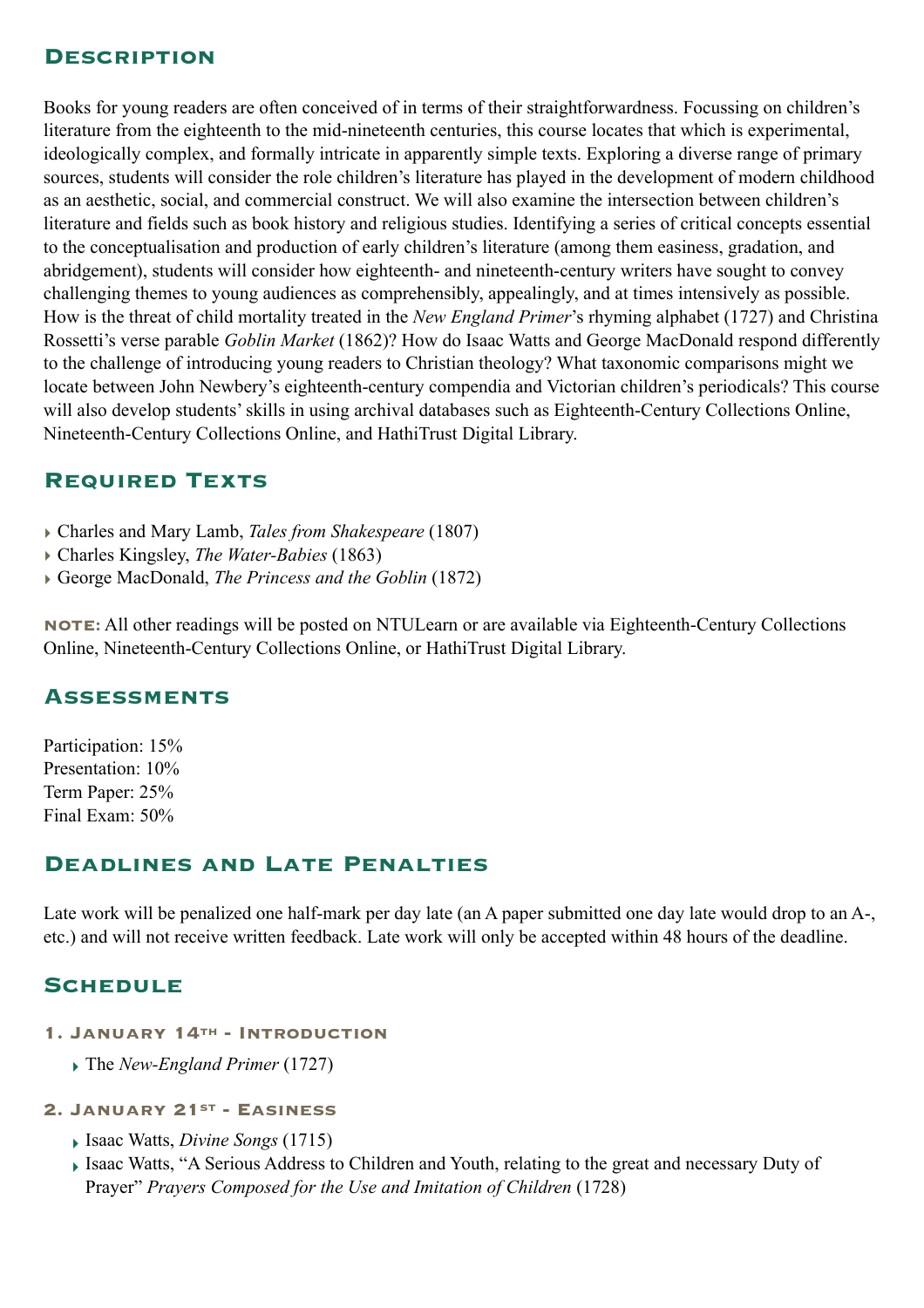## **Description**

Books for young readers are often conceived of in terms of their straightforwardness. Focussing on children's literature from the eighteenth to the mid-nineteenth centuries, this course locates that which is experimental, ideologically complex, and formally intricate in apparently simple texts. Exploring a diverse range of primary sources, students will consider the role children's literature has played in the development of modern childhood as an aesthetic, social, and commercial construct. We will also examine the intersection between children's literature and fields such as book history and religious studies. Identifying a series of critical concepts essential to the conceptualisation and production of early children's literature (among them easiness, gradation, and abridgement), students will consider how eighteenth- and nineteenth-century writers have sought to convey challenging themes to young audiences as comprehensibly, appealingly, and at times intensively as possible. How is the threat of child mortality treated in the *New England Primer*'s rhyming alphabet (1727) and Christina Rossetti's verse parable *Goblin Market* (1862)? How do Isaac Watts and George MacDonald respond differently to the challenge of introducing young readers to Christian theology? What taxonomic comparisons might we locate between John Newbery's eighteenth-century compendia and Victorian children's periodicals? This course will also develop students' skills in using archival databases such as Eighteenth-Century Collections Online, Nineteenth-Century Collections Online, and HathiTrust Digital Library.

## **Required Texts**

- ‣ Charles and Mary Lamb, *Tales from Shakespeare* (1807)
- ‣ Charles Kingsley, *The Water-Babies* (1863)
- ‣ George MacDonald, *The Princess and the Goblin* (1872)

**NOTE:** All other readings will be posted on NTULearn or are available via Eighteenth-Century Collections Online, Nineteenth-Century Collections Online, or HathiTrust Digital Library.

# **Assessments**

Participation: 15% Presentation: 10% Term Paper: 25% Final Exam: 50%

# **Deadlines and Late Penalties**

Late work will be penalized one half-mark per day late (an A paper submitted one day late would drop to an A-, etc.) and will not receive written feedback. Late work will only be accepted within 48 hours of the deadline.

# **Schedule**

- **1. January 14th Introduction** 
	- ‣ The *New-England Primer* (1727)
- **2. January 21st Easiness** 
	- ‣ Isaac Watts, *Divine Songs* (1715)
	- ‣ Isaac Watts, "A Serious Address to Children and Youth, relating to the great and necessary Duty of Prayer" *Prayers Composed for the Use and Imitation of Children* (1728)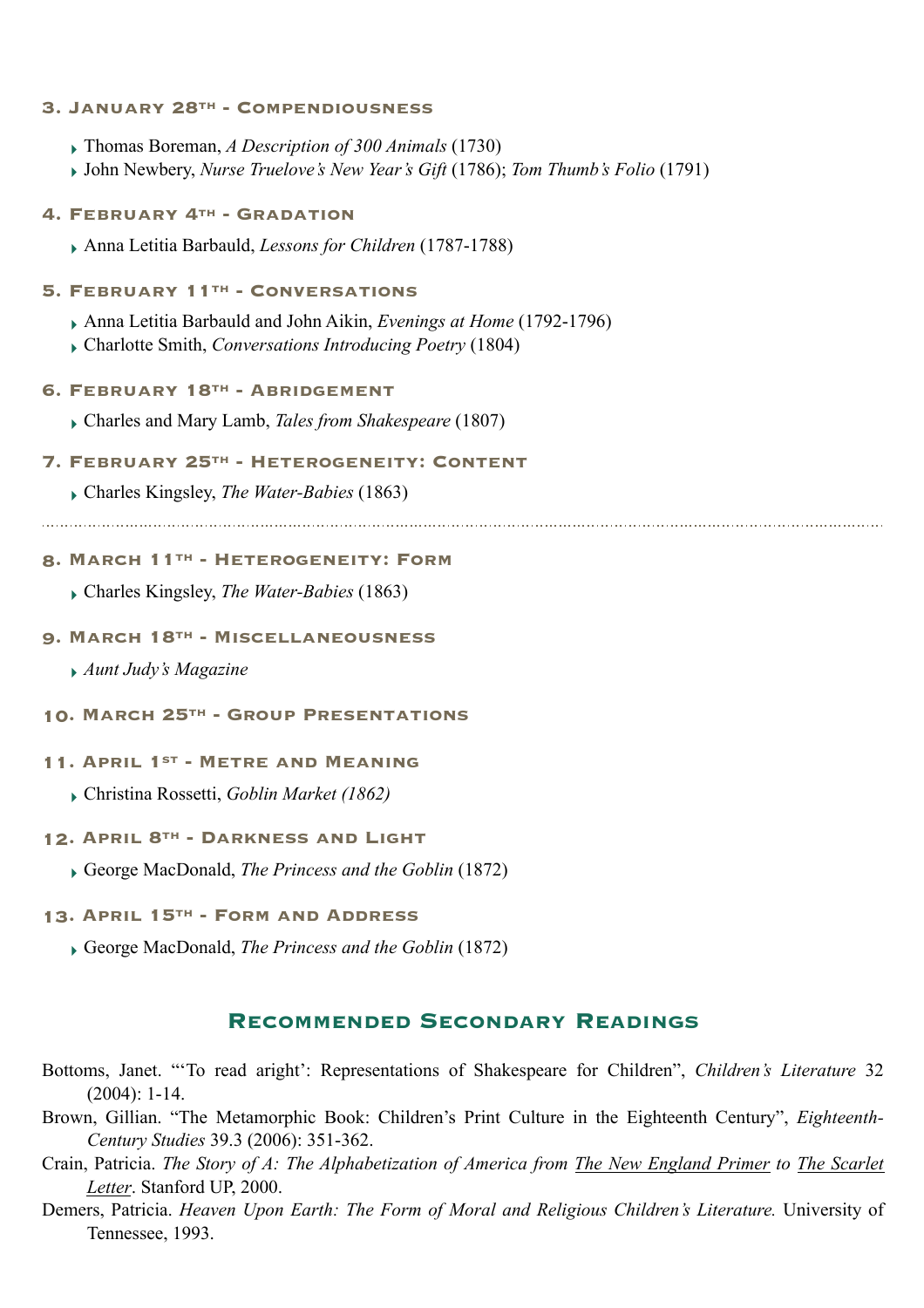#### **3. January 28th - Compendiousness**

- ‣ Thomas Boreman, *A Description of 300 Animals* (1730)
- ‣ John Newbery, *Nurse Truelove's New Year's Gift* (1786); *Tom Thumb's Folio* (1791)

#### **4. February 4th - Gradation**

‣ Anna Letitia Barbauld, *Lessons for Children* (1787-1788)

#### **5. February 11th - Conversations**

- ‣ Anna Letitia Barbauld and John Aikin, *Evenings at Home* (1792-1796)
- ‣ Charlotte Smith, *Conversations Introducing Poetry* (1804)

#### **6. February 18th - Abridgement**

‣ Charles and Mary Lamb, *Tales from Shakespeare* (1807)

#### **7. February 25th - Heterogeneity: Content**

‣ Charles Kingsley, *The Water-Babies* (1863)

## **8. March 11th - Heterogeneity: Form**

‣ Charles Kingsley, *The Water-Babies* (1863)

#### **9. March 18th - Miscellaneousness**

- ‣ *Aunt Judy's Magazine*
- **10. March 25th Group Presentations**

## **11. April 1st - Metre and Meaning**

‣ Christina Rossetti, *Goblin Market (1862)* 

#### **12. April 8th - Darkness and Light**

‣ George MacDonald, *The Princess and the Goblin* (1872)

#### **13. April 15th - Form and Address**

‣ George MacDonald, *The Princess and the Goblin* (1872)

### **RECOMMENDED SECONDARY READINGS**

- Bottoms, Janet. "'To read aright': Representations of Shakespeare for Children", *Children's Literature* 32 (2004): 1-14.
- Brown, Gillian. "The Metamorphic Book: Children's Print Culture in the Eighteenth Century", *Eighteenth-Century Studies* 39.3 (2006): 351-362.
- Crain, Patricia. *The Story of A: The Alphabetization of America from The New England Primer to The Scarlet Letter*. Stanford UP, 2000.
- Demers, Patricia. *Heaven Upon Earth: The Form of Moral and Religious Children's Literature.* University of Tennessee, 1993.